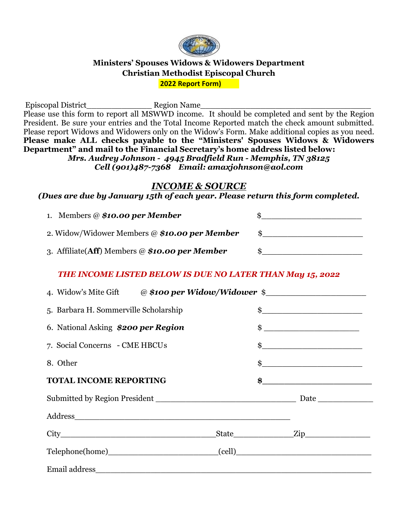

### **Ministers' Spouses Widows & Widowers Department Christian Methodist Episcopal Church 2022 Report Form)**

Episcopal District Figure Region Name Please use this form to report all MSWWD income. It should be completed and sent by the Region President. Be sure your entries and the Total Income Reported match the check amount submitted. Please report Widows and Widowers only on the Widow's Form. Make additional copies as you need. **Please make ALL checks payable to the "Ministers' Spouses Widows & Widowers Department" and mail to the Financial Secretary's home address listed below:** *Mrs. Audrey Johnson - 4945 Bradfield Run - Memphis, TN 38125 Cell (901)487-7368 Email: amaxjohnson@aol.com*

### *INCOME & SOURCE*

#### *(Dues are due by January 15th of each year. Please return this form completed.*

| 1. Members @ \$10.00 per Member                    |  |
|----------------------------------------------------|--|
| 2. Widow/Widower Members @ \$10.00 per Member      |  |
| 3. Affiliate( $Aff$ ) Members @ \$10.00 per Member |  |

### *THE INCOME LISTED BELOW IS DUE NO LATER THAN May 15, 2022*

| 4. Widow's Mite Gift @ \$100 per Widow/Widower \$_________________________________ |  |  |                                                  |  |
|------------------------------------------------------------------------------------|--|--|--------------------------------------------------|--|
| 5. Barbara H. Sommerville Scholarship                                              |  |  |                                                  |  |
| 6. National Asking \$200 per Region                                                |  |  | $\qquad \qquad \$$                               |  |
| 7. Social Concerns - CME HBCUs                                                     |  |  | $\frac{1}{2}$                                    |  |
| 8. Other                                                                           |  |  | $\frac{1}{2}$                                    |  |
| <b>TOTAL INCOME REPORTING</b>                                                      |  |  | $\frac{1}{2}$ , we can be a set of $\frac{1}{2}$ |  |
|                                                                                    |  |  |                                                  |  |
|                                                                                    |  |  |                                                  |  |
|                                                                                    |  |  |                                                  |  |
|                                                                                    |  |  |                                                  |  |
|                                                                                    |  |  |                                                  |  |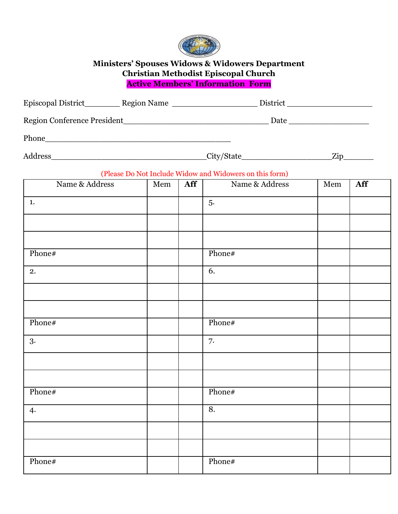

## **Ministers' Spouses Widows & Widowers Department Christian Methodist Episcopal Church Active Members' Information Form**

|                |     |     | Episcopal District___________ Region Name ________________________ District ________________________ |     |     |  |
|----------------|-----|-----|------------------------------------------------------------------------------------------------------|-----|-----|--|
|                |     |     |                                                                                                      |     |     |  |
|                |     |     |                                                                                                      |     |     |  |
|                |     |     |                                                                                                      |     |     |  |
|                |     |     | (Please Do Not Include Widow and Widowers on this form)                                              |     |     |  |
| Name & Address | Mem | Aff | Name & Address                                                                                       | Mem | Aff |  |
| 1.             |     |     | 5.                                                                                                   |     |     |  |
|                |     |     |                                                                                                      |     |     |  |
|                |     |     |                                                                                                      |     |     |  |
| Phone#         |     |     | Phone#                                                                                               |     |     |  |
| 2.             |     |     | 6.                                                                                                   |     |     |  |
|                |     |     |                                                                                                      |     |     |  |
|                |     |     |                                                                                                      |     |     |  |
| Phone#         |     |     | Phone#                                                                                               |     |     |  |
| 3.             |     |     | 7.                                                                                                   |     |     |  |
|                |     |     |                                                                                                      |     |     |  |
|                |     |     |                                                                                                      |     |     |  |
| Phone#         |     |     | Phone#                                                                                               |     |     |  |
| 4.             |     |     | 8.                                                                                                   |     |     |  |
|                |     |     |                                                                                                      |     |     |  |
|                |     |     |                                                                                                      |     |     |  |
| Phone#         |     |     | Phone#                                                                                               |     |     |  |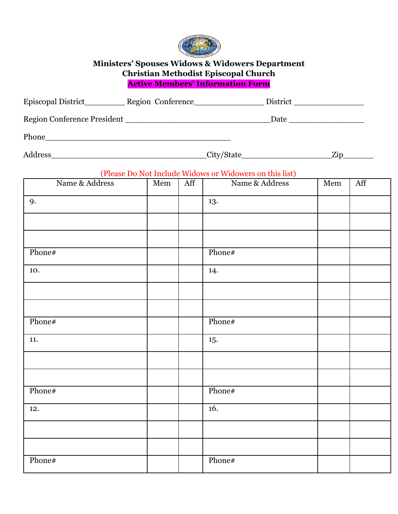

## **Ministers' Spouses Widows & Widowers Department Christian Methodist Episcopal Church Active Members' Information Form**

|                |     |     | Episcopal District_____________ Region Conference____________________ District ____________________ |     |     |
|----------------|-----|-----|-----------------------------------------------------------------------------------------------------|-----|-----|
|                |     |     |                                                                                                     |     |     |
|                |     |     |                                                                                                     |     |     |
|                |     |     |                                                                                                     |     |     |
|                |     |     | (Please Do Not Include Widows or Widowers on this list)                                             |     |     |
| Name & Address | Mem | Aff | Name & Address                                                                                      | Mem | Aff |
| 9.             |     |     | 13.                                                                                                 |     |     |
|                |     |     |                                                                                                     |     |     |
|                |     |     |                                                                                                     |     |     |
| Phone#         |     |     | Phone#                                                                                              |     |     |
| 10.            |     |     | 14.                                                                                                 |     |     |
|                |     |     |                                                                                                     |     |     |
|                |     |     |                                                                                                     |     |     |
| Phone#         |     |     | Phone#                                                                                              |     |     |
| 11.            |     |     | 15.                                                                                                 |     |     |
|                |     |     |                                                                                                     |     |     |
|                |     |     |                                                                                                     |     |     |
| Phone#         |     |     | Phone#                                                                                              |     |     |
| 12.            |     |     | 16.                                                                                                 |     |     |
|                |     |     |                                                                                                     |     |     |
|                |     |     |                                                                                                     |     |     |
| Phone#         |     |     | Phone#                                                                                              |     |     |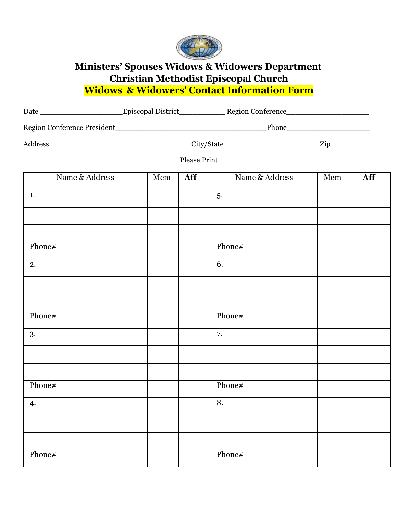

# **Ministers' Spouses Widows & Widowers Department Christian Methodist Episcopal Church Widows & Widowers' Contact Information Form**

|                |     | <b>Please Print</b> |                |     |     |
|----------------|-----|---------------------|----------------|-----|-----|
| Name & Address | Mem | Aff                 | Name & Address | Mem | Aff |
| 1.             |     |                     | 5.             |     |     |
|                |     |                     |                |     |     |
|                |     |                     |                |     |     |
| Phone#         |     |                     | Phone#         |     |     |
| 2.             |     |                     | 6.             |     |     |
|                |     |                     |                |     |     |
|                |     |                     |                |     |     |
| Phone#         |     |                     | Phone#         |     |     |
| 3.             |     |                     | 7.             |     |     |
|                |     |                     |                |     |     |
|                |     |                     |                |     |     |
| Phone#         |     |                     | Phone#         |     |     |
| 4.             |     |                     | 8.             |     |     |
|                |     |                     |                |     |     |
|                |     |                     |                |     |     |
| Phone#         |     |                     | Phone#         |     |     |